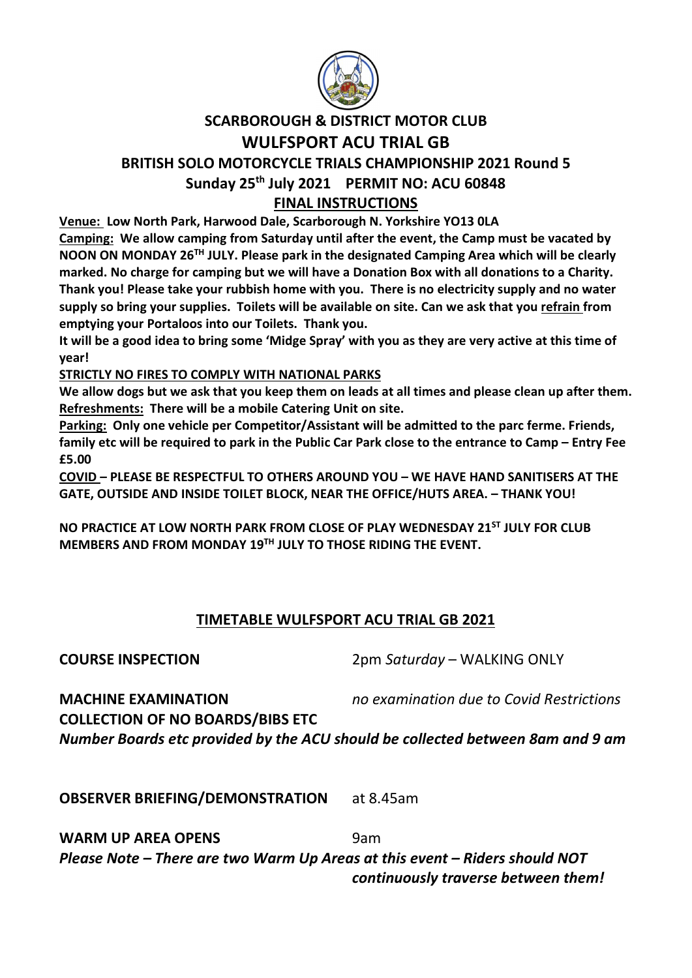

## SCARBOROUGH & DISTRICT MOTOR CLUB WULFSPORT ACU TRIAL GB

## BRITISH SOLO MOTORCYCLE TRIALS CHAMPIONSHIP 2021 Round 5 Sunday 25<sup>th</sup> July 2021 PERMIT NO: ACU 60848

## FINAL INSTRUCTIONS

Venue: Low North Park, Harwood Dale, Scarborough N. Yorkshire YO13 0LA Camping: We allow camping from Saturday until after the event, the Camp must be vacated by NOON ON MONDAY 26TH JULY. Please park in the designated Camping Area which will be clearly marked. No charge for camping but we will have a Donation Box with all donations to a Charity. Thank you! Please take your rubbish home with you. There is no electricity supply and no water supply so bring your supplies. Toilets will be available on site. Can we ask that you refrain from

emptying your Portaloos into our Toilets. Thank you.

It will be a good idea to bring some 'Midge Spray' with you as they are very active at this time of year!

STRICTLY NO FIRES TO COMPLY WITH NATIONAL PARKS

We allow dogs but we ask that you keep them on leads at all times and please clean up after them. Refreshments: There will be a mobile Catering Unit on site.

Parking: Only one vehicle per Competitor/Assistant will be admitted to the parc ferme. Friends, family etc will be required to park in the Public Car Park close to the entrance to Camp – Entry Fee £5.00

COVID – PLEASE BE RESPECTFUL TO OTHERS AROUND YOU – WE HAVE HAND SANITISERS AT THE GATE, OUTSIDE AND INSIDE TOILET BLOCK, NEAR THE OFFICE/HUTS AREA. – THANK YOU!

NO PRACTICE AT LOW NORTH PARK FROM CLOSE OF PLAY WEDNESDAY 21<sup>ST</sup> JULY FOR CLUB MEMBERS AND FROM MONDAY 19TH JULY TO THOSE RIDING THE EVENT.

## TIMETABLE WULFSPORT ACU TRIAL GB 2021

COURSE INSPECTION 2pm Saturday – WALKING ONLY

**MACHINE EXAMINATION** no examination due to Covid Restrictions COLLECTION OF NO BOARDS/BIBS ETC Number Boards etc provided by the ACU should be collected between 8am and 9 am

OBSERVER BRIEFING/DEMONSTRATION at 8.45am

WARM UP AREA OPENS 9am Please Note – There are two Warm Up Areas at this event – Riders should NOT continuously traverse between them!